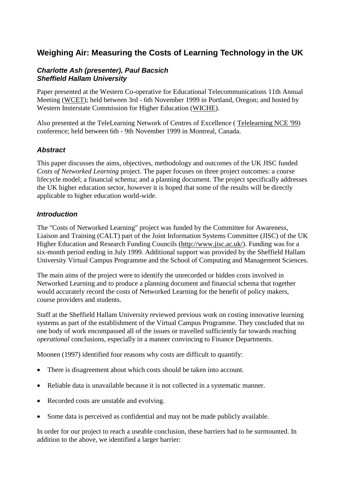# **Weighing Air: Measuring the Costs of Learning Technology in the UK**

#### *Charlotte Ash (presenter), Paul Bacsich Sheffield Hallam University*

Paper presented at the Western Co-operative for Educational Telecommunications 11th Annual Meeting [\(WCET\)](http://www.wiche.edu/telecom/events/annualmeeting/); held between 3rd - 6th November 1999 in Portland, Oregon; and hosted by Western Insterstate Commission for Higher Education [\(WICHE\)](http://www.wiche.edu/telecom/events/annualmeeting/).

Also presented at the TeleLearning Network of Centres of Excellence ( [Telelearning NCE '99\)](http://www.telelearn.ca/) conference; held between 6th - 9th November 1999 in Montreal, Canada.

#### *Abstract*

This paper discusses the aims, objectives, methodology and outcomes of the UK JISC funded *Costs of Networked Learning* project. The paper focuses on three project outcomes: a course lifecycle model; a financial schema; and a planning document. The project specifically addresses the UK higher education sector, however it is hoped that some of the results will be directly applicable to higher education world-wide.

#### *Introduction*

The "Costs of Networked Learning" project was funded by the Committee for Awareness, Liaison and Training (CALT) part of the Joint Information Systems Committee (JISC) of the UK Higher Education and Research Funding Councils [\(http://www.jisc.ac.uk/\)](http://www.jisc.ac.uk/). Funding was for a six-month period ending in July 1999. Additional support was provided by the Sheffield Hallam University Virtual Campus Programme and the School of Computing and Management Sciences.

The main aims of the project were to identify the unrecorded or hidden costs involved in Networked Learning and to produce a planning document and financial schema that together would accurately record the costs of Networked Learning for the benefit of policy makers, course providers and students.

Staff at the Sheffield Hallam University reviewed previous work on costing innovative learning systems as part of the establishment of the Virtual Campus Programme. They concluded that no one body of work encompassed all of the issues or travelled sufficiently far towards reaching *operational* conclusions, especially in a manner convincing to Finance Departments.

Moonen (1997) identified four reasons why costs are difficult to quantify:

- There is disagreement about which costs should be taken into account.
- Reliable data is unavailable because it is not collected in a systematic manner.
- Recorded costs are unstable and evolving.
- Some data is perceived as confidential and may not be made publicly available.

In order for our project to reach a useable conclusion, these barriers had to be surmounted. In addition to the above, we identified a larger barrier: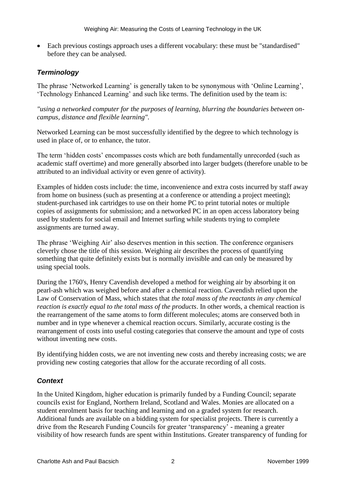Each previous costings approach uses a different vocabulary: these must be "standardised" before they can be analysed.

## *Terminology*

The phrase 'Networked Learning' is generally taken to be synonymous with 'Online Learning', 'Technology Enhanced Learning' and such like terms. The definition used by the team is:

*"using a networked computer for the purposes of learning, blurring the boundaries between oncampus, distance and flexible learning".*

Networked Learning can be most successfully identified by the degree to which technology is used in place of, or to enhance, the tutor.

The term 'hidden costs' encompasses costs which are both fundamentally unrecorded (such as academic staff overtime) and more generally absorbed into larger budgets (therefore unable to be attributed to an individual activity or even genre of activity).

Examples of hidden costs include: the time, inconvenience and extra costs incurred by staff away from home on business (such as presenting at a conference or attending a project meeting); student-purchased ink cartridges to use on their home PC to print tutorial notes or multiple copies of assignments for submission; and a networked PC in an open access laboratory being used by students for social email and Internet surfing while students trying to complete assignments are turned away.

The phrase 'Weighing Air' also deserves mention in this section. The conference organisers cleverly chose the title of this session. Weighing air describes the process of quantifying something that quite definitely exists but is normally invisible and can only be measured by using special tools.

During the 1760's, Henry Cavendish developed a method for weighing air by absorbing it on pearl-ash which was weighed before and after a chemical reaction. Cavendish relied upon the Law of Conservation of Mass, which states that *the total mass of the reactants in any chemical reaction is exactly equal to the total mass of the products*. In other words, a chemical reaction is the rearrangement of the same atoms to form different molecules; atoms are conserved both in number and in type whenever a chemical reaction occurs. Similarly, accurate costing is the rearrangement of costs into useful costing categories that conserve the amount and type of costs without inventing new costs.

By identifying hidden costs, we are not inventing new costs and thereby increasing costs; we are providing new costing categories that allow for the accurate recording of all costs.

## *Context*

In the United Kingdom, higher education is primarily funded by a Funding Council; separate councils exist for England, Northern Ireland, Scotland and Wales. Monies are allocated on a student enrolment basis for teaching and learning and on a graded system for research. Additional funds are available on a bidding system for specialist projects. There is currently a drive from the Research Funding Councils for greater 'transparency' - meaning a greater visibility of how research funds are spent within Institutions. Greater transparency of funding for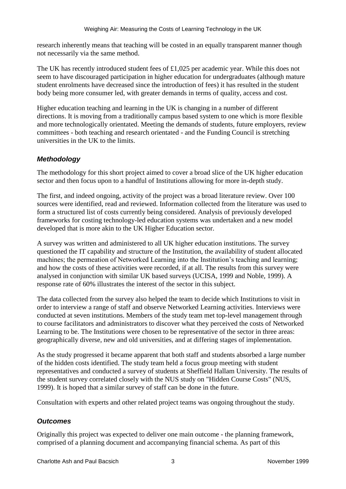research inherently means that teaching will be costed in an equally transparent manner though not necessarily via the same method.

The UK has recently introduced student fees of £1,025 per academic year. While this does not seem to have discouraged participation in higher education for undergraduates (although mature student enrolments have decreased since the introduction of fees) it has resulted in the student body being more consumer led, with greater demands in terms of quality, access and cost.

Higher education teaching and learning in the UK is changing in a number of different directions. It is moving from a traditionally campus based system to one which is more flexible and more technologically orientated. Meeting the demands of students, future employers, review committees - both teaching and research orientated - and the Funding Council is stretching universities in the UK to the limits.

## *Methodology*

The methodology for this short project aimed to cover a broad slice of the UK higher education sector and then focus upon to a handful of Institutions allowing for more in-depth study.

The first, and indeed ongoing, activity of the project was a broad literature review. Over 100 sources were identified, read and reviewed. Information collected from the literature was used to form a structured list of costs currently being considered. Analysis of previously developed frameworks for costing technology-led education systems was undertaken and a new model developed that is more akin to the UK Higher Education sector.

A survey was written and administered to all UK higher education institutions. The survey questioned the IT capability and structure of the Institution, the availability of student allocated machines; the permeation of Networked Learning into the Institution's teaching and learning; and how the costs of these activities were recorded, if at all. The results from this survey were analysed in conjunction with similar UK based surveys (UCISA, 1999 and Noble, 1999). A response rate of 60% illustrates the interest of the sector in this subject.

The data collected from the survey also helped the team to decide which Institutions to visit in order to interview a range of staff and observe Networked Learning activities. Interviews were conducted at seven institutions. Members of the study team met top-level management through to course facilitators and administrators to discover what they perceived the costs of Networked Learning to be. The Institutions were chosen to be representative of the sector in three areas: geographically diverse, new and old universities, and at differing stages of implementation.

As the study progressed it became apparent that both staff and students absorbed a large number of the hidden costs identified. The study team held a focus group meeting with student representatives and conducted a survey of students at Sheffield Hallam University. The results of the student survey correlated closely with the NUS study on "Hidden Course Costs" (NUS, 1999). It is hoped that a similar survey of staff can be done in the future.

Consultation with experts and other related project teams was ongoing throughout the study.

## *Outcomes*

Originally this project was expected to deliver one main outcome - the planning framework, comprised of a planning document and accompanying financial schema. As part of this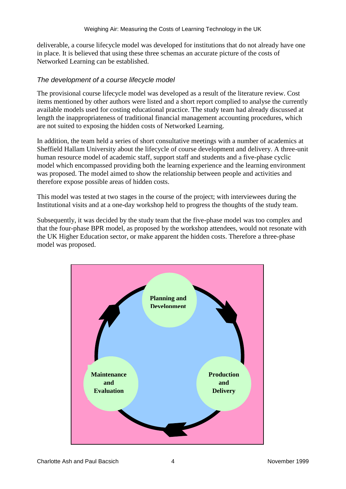deliverable, a course lifecycle model was developed for institutions that do not already have one in place. It is believed that using these three schemas an accurate picture of the costs of Networked Learning can be established.

#### *The development of a course lifecycle model*

The provisional course lifecycle model was developed as a result of the literature review. Cost items mentioned by other authors were listed and a short report complied to analyse the currently available models used for costing educational practice. The study team had already discussed at length the inappropriateness of traditional financial management accounting procedures, which are not suited to exposing the hidden costs of Networked Learning.

In addition, the team held a series of short consultative meetings with a number of academics at Sheffield Hallam University about the lifecycle of course development and delivery. A three-unit human resource model of academic staff, support staff and students and a five-phase cyclic model which encompassed providing both the learning experience and the learning environment was proposed. The model aimed to show the relationship between people and activities and therefore expose possible areas of hidden costs.

This model was tested at two stages in the course of the project; with interviewees during the Institutional visits and at a one-day workshop held to progress the thoughts of the study team.

Subsequently, it was decided by the study team that the five-phase model was too complex and that the four-phase BPR model, as proposed by the workshop attendees, would not resonate with the UK Higher Education sector, or make apparent the hidden costs. Therefore a three-phase model was proposed.

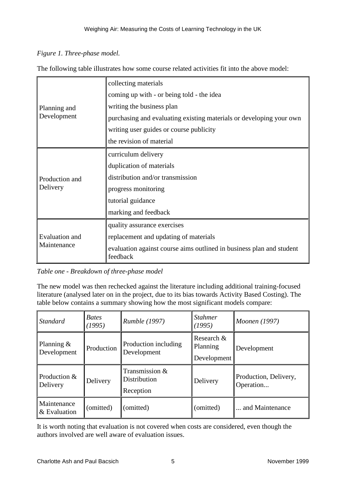## *Figure 1. Three-phase model.*

The following table illustrates how some course related activities fit into the above model:

| Planning and<br>Development          | collecting materials                                                             |  |  |
|--------------------------------------|----------------------------------------------------------------------------------|--|--|
|                                      | coming up with - or being told - the idea                                        |  |  |
|                                      | writing the business plan                                                        |  |  |
|                                      | purchasing and evaluating existing materials or developing your own              |  |  |
|                                      | writing user guides or course publicity                                          |  |  |
|                                      | the revision of material                                                         |  |  |
| Production and<br>Delivery           | curriculum delivery                                                              |  |  |
|                                      | duplication of materials                                                         |  |  |
|                                      | distribution and/or transmission                                                 |  |  |
|                                      | progress monitoring                                                              |  |  |
|                                      | tutorial guidance                                                                |  |  |
|                                      | marking and feedback                                                             |  |  |
| <b>Evaluation</b> and<br>Maintenance | quality assurance exercises                                                      |  |  |
|                                      | replacement and updating of materials                                            |  |  |
|                                      | evaluation against course aims outlined in business plan and student<br>feedback |  |  |

*Table one - Breakdown of three-phase model*

The new model was then rechecked against the literature including additional training-focused literature (analysed later on in the project, due to its bias towards Activity Based Costing). The table below contains a summary showing how the most significant models compare:

| <b>Standard</b>              | <b>Bates</b><br>(1995) | <i>Rumble</i> (1997)                        | <b>Stahmer</b><br>(1995)              | Moonen (1997)                      |
|------------------------------|------------------------|---------------------------------------------|---------------------------------------|------------------------------------|
| Planning $\&$<br>Development | Production             | Production including<br>Development         | Research &<br>Planning<br>Development | Development                        |
| Production &<br>Delivery     | Delivery               | Transmission &<br>Distribution<br>Reception | Delivery                              | Production, Delivery,<br>Operation |
| Maintenance<br>& Evaluation  | (omitted)              | (omitted)                                   | (omitted)                             | and Maintenance                    |

It is worth noting that evaluation is not covered when costs are considered, even though the authors involved are well aware of evaluation issues.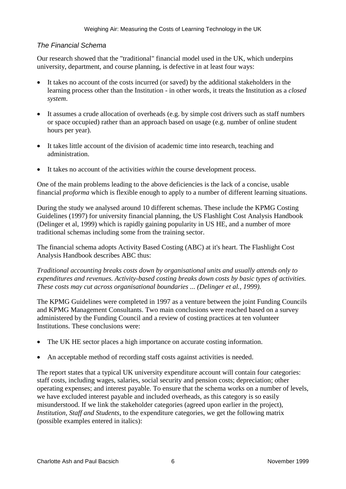### *The Financial Schema*

Our research showed that the "traditional" financial model used in the UK, which underpins university, department, and course planning, is defective in at least four ways:

- It takes no account of the costs incurred (or saved) by the additional stakeholders in the learning process other than the Institution - in other words, it treats the Institution as a *closed system*.
- It assumes a crude allocation of overheads (e.g. by simple cost drivers such as staff numbers or space occupied) rather than an approach based on usage (e.g. number of online student hours per year).
- It takes little account of the division of academic time into research, teaching and administration.
- It takes no account of the activities *within* the course development process.

One of the main problems leading to the above deficiencies is the lack of a concise, usable financial *proforma* which is flexible enough to apply to a number of different learning situations.

During the study we analysed around 10 different schemas. These include the KPMG Costing Guidelines (1997) for university financial planning, the US Flashlight Cost Analysis Handbook (Delinger et al, 1999) which is rapidly gaining popularity in US HE, and a number of more traditional schemas including some from the training sector.

The financial schema adopts Activity Based Costing (ABC) at it's heart. The Flashlight Cost Analysis Handbook describes ABC thus:

*Traditional accounting breaks costs down by organisational units and usually attends only to expenditures and revenues. Activity-based costing breaks down costs by basic types of activities. These costs may cut across organisational boundaries ... (Delinger et al., 1999).*

The KPMG Guidelines were completed in 1997 as a venture between the joint Funding Councils and KPMG Management Consultants. Two main conclusions were reached based on a survey administered by the Funding Council and a review of costing practices at ten volunteer Institutions. These conclusions were:

- The UK HE sector places a high importance on accurate costing information.
- An acceptable method of recording staff costs against activities is needed.

The report states that a typical UK university expenditure account will contain four categories: staff costs, including wages, salaries, social security and pension costs; depreciation; other operating expenses; and interest payable. To ensure that the schema works on a number of levels, we have excluded interest payable and included overheads, as this category is so easily misunderstood. If we link the stakeholder categories (agreed upon earlier in the project), *Institution, Staff and Students*, to the expenditure categories, we get the following matrix (possible examples entered in italics):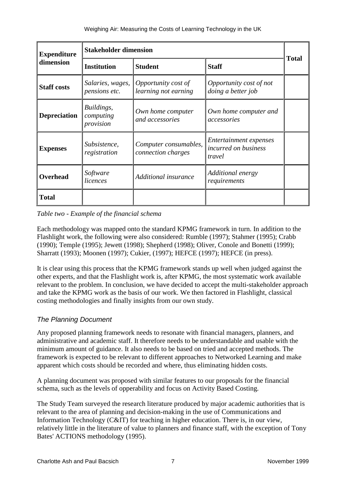| <b>Expenditure</b><br>dimension | <b>Stakeholder dimension</b>         |                                             |                                                          |              |  |
|---------------------------------|--------------------------------------|---------------------------------------------|----------------------------------------------------------|--------------|--|
|                                 | <b>Institution</b>                   | <b>Student</b>                              | <b>Staff</b>                                             | <b>Total</b> |  |
| <b>Staff costs</b>              | Salaries, wages,<br>pensions etc.    | Opportunity cost of<br>learning not earning | Opportunity cost of not<br>doing a better job            |              |  |
| <b>Depreciation</b>             | Buildings,<br>computing<br>provision | Own home computer<br>and accessories        | Own home computer and<br>accessories                     |              |  |
| <b>Expenses</b>                 | Subsistence,<br>registration         | Computer consumables,<br>connection charges | Entertainment expenses<br>incurred on business<br>travel |              |  |
| Overhead                        | Software<br>licences                 | Additional insurance                        | Additional energy<br>requirements                        |              |  |
| <b>Total</b>                    |                                      |                                             |                                                          |              |  |

#### *Table two - Example of the financial schema*

Each methodology was mapped onto the standard KPMG framework in turn. In addition to the Flashlight work, the following were also considered: Rumble (1997); Stahmer (1995); Crabb (1990); Temple (1995); Jewett (1998); Shepherd (1998); Oliver, Conole and Bonetti (1999); Sharratt (1993); Moonen (1997); Cukier, (1997); HEFCE (1997); HEFCE (in press).

It is clear using this process that the KPMG framework stands up well when judged against the other experts, and that the Flashlight work is, after KPMG, the most systematic work available relevant to the problem. In conclusion, we have decided to accept the multi-stakeholder approach and take the KPMG work as the basis of our work. We then factored in Flashlight, classical costing methodologies and finally insights from our own study.

### *The Planning Document*

Any proposed planning framework needs to resonate with financial managers, planners, and administrative and academic staff. It therefore needs to be understandable and usable with the minimum amount of guidance. It also needs to be based on tried and accepted methods. The framework is expected to be relevant to different approaches to Networked Learning and make apparent which costs should be recorded and where, thus eliminating hidden costs.

A planning document was proposed with similar features to our proposals for the financial schema, such as the levels of opperability and focus on Activity Based Costing.

The Study Team surveyed the research literature produced by major academic authorities that is relevant to the area of planning and decision-making in the use of Communications and Information Technology (C&IT) for teaching in higher education. There is, in our view, relatively little in the literature of value to planners and finance staff, with the exception of Tony Bates' ACTIONS methodology (1995).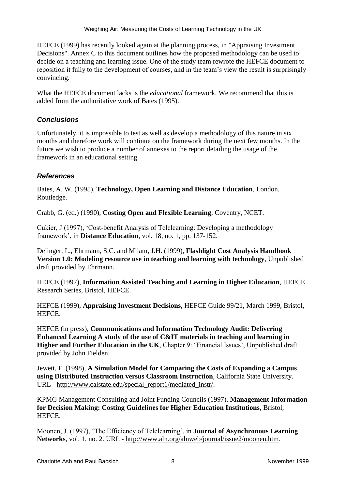HEFCE (1999) has recently looked again at the planning process, in "Appraising Investment Decisions". Annex C to this document outlines how the proposed methodology can be used to decide on a teaching and learning issue. One of the study team rewrote the HEFCE document to reposition it fully to the development of courses, and in the team's view the result is surprisingly convincing.

What the HEFCE document lacks is the *educational* framework. We recommend that this is added from the authoritative work of Bates (1995).

## *Conclusions*

Unfortunately, it is impossible to test as well as develop a methodology of this nature in six months and therefore work will continue on the framework during the next few months. In the future we wish to produce a number of annexes to the report detailing the usage of the framework in an educational setting.

## *References*

Bates, A. W. (1995), **Technology, Open Learning and Distance Education**, London, Routledge.

Crabb, G. (ed.) (1990), **Costing Open and Flexible Learning**, Coventry, NCET.

Cukier, J (1997), 'Cost-benefit Analysis of Telelearning: Developing a methodology framework', in **Distance Education**, vol. 18, no. 1, pp. 137-152.

Delinger, L., Ehrmann, S.C. and Milam, J.H. (1999), **Flashlight Cost Analysis Handbook Version 1.0: Modeling resource use in teaching and learning with technology**, Unpublished draft provided by Ehrmann.

HEFCE (1997), **Information Assisted Teaching and Learning in Higher Education**, HEFCE Research Series, Bristol, HEFCE.

HEFCE (1999), **Appraising Investment Decisions**, HEFCE Guide 99/21, March 1999, Bristol, HEFCE.

HEFCE (in press), **Communications and Information Technology Audit: Delivering Enhanced Learning A study of the use of C&IT materials in teaching and learning in Higher and Further Education in the UK**, Chapter 9: 'Financial Issues', Unpublished draft provided by John Fielden.

Jewett, F. (1998), **A Simulation Model for Comparing the Costs of Expanding a Campus using Distributed Instruction versus Classroom Instruction**, California State University. URL - [http://www.calstate.edu/special\\_report1/mediated\\_instr/.](http://www.calstate.edu/special_report1/mediated_instr/)

KPMG Management Consulting and Joint Funding Councils (1997), **Management Information for Decision Making: Costing Guidelines for Higher Education Institutions**, Bristol, HEFCE.

Moonen, J. (1997), 'The Efficiency of Telelearning', in **Journal of Asynchronous Learning Networks**, vol. 1, no. 2. URL - [http://www.aln.org/alnweb/journal/issue2/moonen.htm.](http://www.aln.org/alnweb/journal/issue2/moonen.htm)